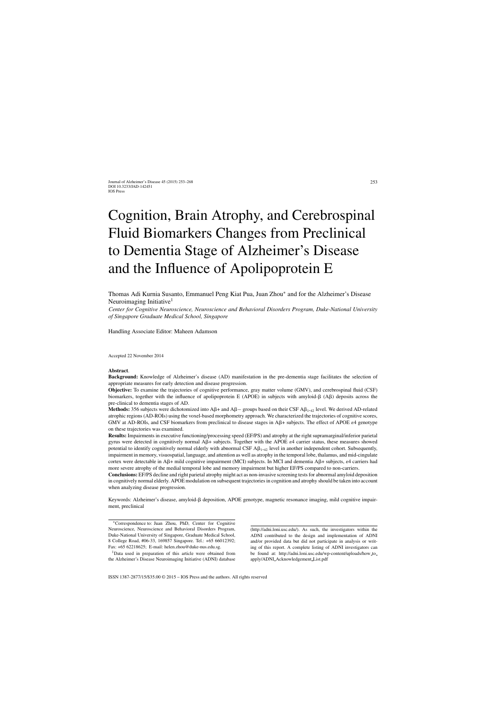# Cognition, Brain Atrophy, and Cerebrospinal Fluid Biomarkers Changes from Preclinical to Dementia Stage of Alzheimer's Disease and the Influence of Apolipoprotein E

Thomas Adi Kurnia Susanto, Emmanuel Peng Kiat Pua, Juan Zhou<sup>∗</sup> and for the Alzheimer's Disease Neuroimaging Initiative<sup>1</sup>

*Center for Cognitive Neuroscience, Neuroscience and Behavioral Disorders Program, Duke-National University of Singapore Graduate Medical School, Singapore*

Handling Associate Editor: Maheen Adamson

Accepted 22 November 2014

## **Abstract**.

**Background:** Knowledge of Alzheimer's disease (AD) manifestation in the pre-dementia stage facilitates the selection of appropriate measures for early detection and disease progression.

**Objective:** To examine the trajectories of cognitive performance, gray matter volume (GMV), and cerebrospinal fluid (CSF) biomarkers, together with the influence of apolipoprotein E (APOE) in subjects with amyloid- $\beta$  (A $\beta$ ) deposits across the pre-clinical to dementia stages of AD.

**Methods:** 356 subjects were dichotomized into  $\mathbf{A}\beta$ + and  $\mathbf{A}\beta$  groups based on their CSF  $\mathbf{A}\beta_{1-42}$  level. We derived AD-related atrophic regions (AD-ROIs) using the voxel-based morphometry approach. We characterized the trajectories of cognitive scores, GMV at AD-ROIs, and CSF biomarkers from preclinical to disease stages in  $A\beta$ + subjects. The effect of APOE  $\varepsilon$ 4 genotype on these trajectories was examined.

**Results:** Impairments in executive functioning/processing speed (EF/PS) and atrophy at the right supramarginal/inferior parietal gyrus were detected in cognitively normal  $\mathsf{A}\beta$ + subjects. Together with the APOE  $\varepsilon$ 4 carrier status, these measures showed potential to identify cognitively normal elderly with abnormal CSF  $\mathbf{A}\beta_{1-42}$  level in another independent cohort. Subsequently, impairment in memory, visuospatial, language, and attention as well as atrophy in the temporal lobe, thalamus, and mid-cingulate cortex were detectable in A $\beta$ + mild cognitive impairment (MCI) subjects. In MCI and dementia A $\beta$ + subjects,  $\varepsilon$ 4 carriers had more severe atrophy of the medial temporal lobe and memory impairment but higher EF/PS compared to non-carriers.

**Conclusions:** EF/PS decline and right parietal atrophy might act as non-invasive screening tests for abnormal amyloid deposition in cognitively normal elderly. APOE modulation on subsequent trajectories in cognition and atrophy should be taken into account when analyzing disease progression.

Keywords: Alzheimer's disease, amyloid- $\beta$  deposition, APOE genotype, magnetic resonance imaging, mild cognitive impairment, preclinical

∗Correspondence to: Juan Zhou, PhD, Center for Cognitive Neuroscience, Neuroscience and Behavioral Disorders Program, Duke-National University of Singapore, Graduate Medical School, 8 College Road, #06-33, 169857 Singapore. Tel.: +65 66012392; Fax: +65 62218625; E-mail: [helen.zhou@duke-nus.edu.sg.](mailto:helen.zhou@duke-nus.edu.sg)

1Data used in preparation of this article were obtained from the Alzheimer's Disease Neuroimaging Initiative (ADNI) database

(<http://adni.loni.usc.edu/>). As such, the investigators within the ADNI contributed to the design and implementation of ADNI and/or provided data but did not participate in analysis or writing of this report. A complete listing of ADNI investigators can be found at: [http://adni.loni.usc.edu/wp-content/uploads/how](http://adni.loni.usc.edu/wp-content/uploads/how_to_apply/ADNI_Acknowledgement_List.pdf) to apply/ADNI [Acknowledgement](http://adni.loni.usc.edu/wp-content/uploads/how_to_apply/ADNI_Acknowledgement_List.pdf) List.pdf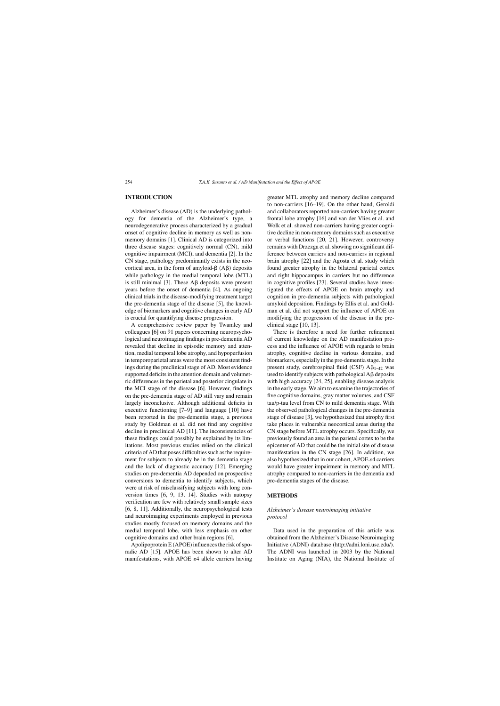# **INTRODUCTION**

Alzheimer's disease (AD) is the underlying pathology for dementia of the Alzheimer's type, a neurodegenerative process characterized by a gradual onset of cognitive decline in memory as well as nonmemory domains [1]. Clinical AD is categorized into three disease stages: cognitively normal (CN), mild cognitive impairment (MCI), and dementia [2]. In the CN stage, pathology predominantly exists in the neocortical area, in the form of amyloid- $\beta$  (A $\beta$ ) deposits while pathology in the medial temporal lobe (MTL) is still minimal [3]. These  $\mathsf{A}\mathsf{B}$  deposits were present years before the onset of dementia [4]. As ongoing clinical trials in the disease-modifying treatment target the pre-dementia stage of the disease [5], the knowledge of biomarkers and cognitive changes in early AD is crucial for quantifying disease progression.

A comprehensive review paper by Twamley and colleagues [6] on 91 papers concerning neuropsychological and neuroimaging findings in pre-dementia AD revealed that decline in episodic memory and attention, medial temporal lobe atrophy, and hypoperfusion in temporoparietal areas were the most consistent findings during the preclinical stage of AD. Most evidence supported deficits in the attention domain and volumetric differences in the parietal and posterior cingulate in the MCI stage of the disease [6]. However, findings on the pre-dementia stage of AD still vary and remain largely inconclusive. Although additional deficits in executive functioning [7–9] and language [10] have been reported in the pre-dementia stage, a previous study by Goldman et al. did not find any cognitive decline in preclinical AD [11]. The inconsistencies of these findings could possibly be explained by its limitations. Most previous studies relied on the clinical criteria of AD that poses difficulties such as the requirement for subjects to already be in the dementia stage and the lack of diagnostic accuracy [12]. Emerging studies on pre-dementia AD depended on prospective conversions to dementia to identify subjects, which were at risk of misclassifying subjects with long conversion times [6, 9, 13, 14]. Studies with autopsy verification are few with relatively small sample sizes [6, 8, 11]. Additionally, the neuropsychological tests and neuroimaging experiments employed in previous studies mostly focused on memory domains and the medial temporal lobe, with less emphasis on other cognitive domains and other brain regions [6].

Apolipoprotein E (APOE) influences the risk of sporadic AD [15]. APOE has been shown to alter AD manifestations, with APOE  $\varepsilon$ 4 allele carriers having

greater MTL atrophy and memory decline compared to non-carriers [16–19]. On the other hand, Geroldi and collaborators reported non-carriers having greater frontal lobe atrophy [16] and van der Vlies et al. and Wolk et al. showed non-carriers having greater cognitive decline in non-memory domains such as executive or verbal functions [20, 21]. However, controversy remains with Drzezga et al. showing no significant difference between carriers and non-carriers in regional brain atrophy [22] and the Agosta et al. study which found greater atrophy in the bilateral parietal cortex and right hippocampus in carriers but no difference in cognitive profiles [23]. Several studies have investigated the effects of APOE on brain atrophy and cognition in pre-dementia subjects with pathological amyloid deposition. Findings by Ellis et al. and Goldman et al. did not support the influence of APOE on modifying the progression of the disease in the preclinical stage [10, 13].

There is therefore a need for further refinement of current knowledge on the AD manifestation process and the influence of APOE with regards to brain atrophy, cognitive decline in various domains, and biomarkers, especially in the pre-dementia stage. In the present study, cerebrospinal fluid (CSF)  $\mathbf{A}\mathbf{\beta}_{1-42}$  was used to identify subjects with pathological  $\overrightarrow{AB}$  deposits with high accuracy [24, 25], enabling disease analysis in the early stage. We aim to examine the trajectories of five cognitive domains, gray matter volumes, and CSF tau/p-tau level from CN to mild dementia stage. With the observed pathological changes in the pre-dementia stage of disease [3], we hypothesized that atrophy first take places in vulnerable neocortical areas during the CN stage before MTL atrophy occurs. Specifically, we previously found an area in the parietal cortex to be the epicenter of AD that could be the initial site of disease manifestation in the CN stage [26]. In addition, we also hypothesized that in our cohort, APOE  $\varepsilon$ 4 carriers would have greater impairment in memory and MTL atrophy compared to non-carriers in the dementia and pre-dementia stages of the disease.

## **METHODS**

## *Alzheimer's disease neuroimaging initiative protocol*

Data used in the preparation of this article was obtained from the Alzheimer's Disease Neuroimaging Initiative (ADNI) database [\(http://adni.loni.usc.edu/\)](http://adni.loni.usc.edu/). The ADNI was launched in 2003 by the National Institute on Aging (NIA), the National Institute of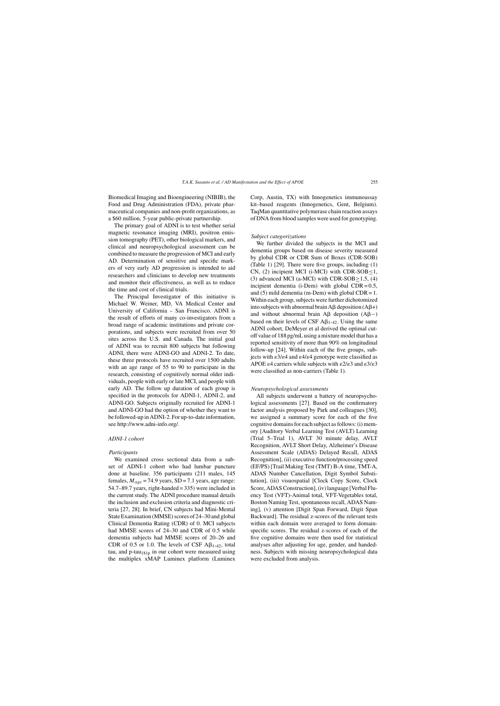Biomedical Imaging and Bioengineering (NIBIB), the Food and Drug Administration (FDA), private pharmaceutical companies and non-profit organizations, as a \$60 million, 5-year public-private partnership.

The primary goal of ADNI is to test whether serial magnetic resonance imaging (MRI), positron emission tomography (PET), other biological markers, and clinical and neuropsychological assessment can be combined to measure the progression of MCI and early AD. Determination of sensitive and specific markers of very early AD progression is intended to aid researchers and clinicians to develop new treatments and monitor their effectiveness, as well as to reduce the time and cost of clinical trials.

The Principal Investigator of this initiative is Michael W. Weiner, MD, VA Medical Center and University of California – San Francisco. ADNI is the result of efforts of many co-investigators from a broad range of academic institutions and private corporations, and subjects were recruited from over 50 sites across the U.S. and Canada. The initial goal of ADNI was to recruit 800 subjects but following ADNI, there were ADNI-GO and ADNI-2. To date, these three protocols have recruited over 1500 adults with an age range of 55 to 90 to participate in the research, consisting of cognitively normal older individuals, people with early or late MCI, and people with early AD. The follow up duration of each group is specified in the protocols for ADNI-1, ADNI-2, and ADNI-GO. Subjects originally recruited for ADNI-1 and ADNI-GO had the option of whether they want to be followed-up in ADNI-2. For up-to-date information, see<http://www.adni-info.org/>.

#### *ADNI-1 cohort*

#### *Participants*

We examined cross sectional data from a subset of ADNI-1 cohort who had lumbar puncture done at baseline. 356 participants (211 males, 145 females,  $M_{\text{age}} = 74.9$  years, SD = 7.1 years, age range: 54.7–89.7 years, right-handed =  $335$ ) were included in the current study. The ADNI procedure manual details the inclusion and exclusion criteria and diagnostic criteria [27, 28]. In brief, CN subjects had Mini-Mental State Examination (MMSE) scores of 24–30 and global Clinical Dementia Rating (CDR) of 0. MCI subjects had MMSE scores of 24–30 and CDR of 0.5 while dementia subjects had MMSE scores of 20–26 and CDR of 0.5 or 1.0. The levels of CSF  $\mathbf{A}\beta_{1-42}$ , total tau, and p-tau<sub>181p</sub> in our cohort were measured using the multiplex xMAP Luminex platform (Luminex

Corp, Austin, TX) with Innogenetics immunoassay kit–based reagents (Innogenetics, Gent, Belgium). TaqMan quantitative polymerase chain reaction assays of DNA from blood samples were used for genotyping.

#### *Subject categorizations*

We further divided the subjects in the MCI and dementia groups based on disease severity measured by global CDR or CDR Sum of Boxes (CDR-SOB) (Table 1) [29]. There were five groups, including (1) CN, (2) incipient MCI (i-MCI) with CDR-SOB $\leq$ 1, (3) advanced MCI (a-MCI) with CDR-SOB $\geq$ 1.5, (4) incipient dementia (i-Dem) with global  $CDR = 0.5$ , and (5) mild dementia (m-Dem) with global  $CDR = 1$ . Within each group, subjects were further dichotomized into subjects with abnormal brain  $\overrightarrow{AB}$  deposition  $(A\beta+)$ and without abnormal brain A $\beta$  deposition (A $\beta$ –) based on their levels of CSF  $\mathbf{A}\mathbf{B}_{1-42}$ . Using the same ADNI cohort, DeMeyer et al derived the optimal cutoff value of 188 pg/mL using a mixture model that has a reported sensitivity of more than 90% on longitudinal follow-up [24]. Within each of the five groups, subjects with  $\varepsilon 3/\varepsilon 4$  and  $\varepsilon 4/\varepsilon 4$  genotype were classified as APOE  $\varepsilon$ 4 carriers while subjects with  $\varepsilon$ 2/ $\varepsilon$ 3 and  $\varepsilon$ 3/ $\varepsilon$ 3 were classified as non-carriers (Table 1).

## *Neuropsychological assessments*

All subjects underwent a battery of neuropsychological assessments [27]. Based on the confirmatory factor analysis proposed by Park and colleagues [30], we assigned a summary score for each of the five cognitive domains for each subject as follows: (i) memory [Auditory Verbal Learning Test (AVLT) Learning (Trial 5–Trial 1), AVLT 30 minute delay, AVLT Recognition, AVLT Short Delay, Alzheimer's Disease Assessment Scale (ADAS) Delayed Recall, ADAS Recognition], (ii) executive function/processing speed (EF/PS) [Trail Making Test (TMT) B-A time, TMT-A, ADAS Number Cancellation, Digit Symbol Substitution], (iii) visuospatial [Clock Copy Score, Clock Score, ADAS Construction], (iv) language [Verbal Fluency Test (VFT)-Animal total, VFT-Vegetables total, Boston Naming Test, spontaneous recall, ADAS Naming], (v) attention [Digit Span Forward, Digit Span Backward]. The residual z-scores of the relevant tests within each domain were averaged to form domainspecific scores. The residual z-scores of each of the five cognitive domains were then used for statistical analyses after adjusting for age, gender, and handedness. Subjects with missing neuropsychological data were excluded from analysis.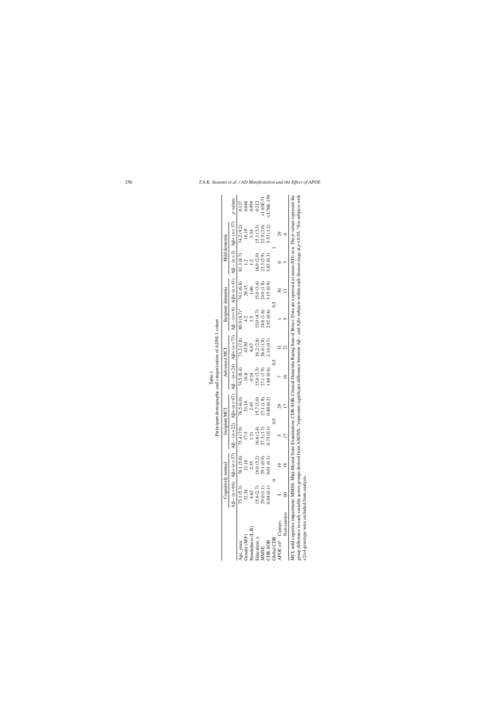|                                                                                                                                                                                                                              |            |                    |               |            | Participant demographic and categorization of ADNI-1 cohort<br>Table 1                                                                                                                                                            |            |             |                    |                 |            |              |
|------------------------------------------------------------------------------------------------------------------------------------------------------------------------------------------------------------------------------|------------|--------------------|---------------|------------|-----------------------------------------------------------------------------------------------------------------------------------------------------------------------------------------------------------------------------------|------------|-------------|--------------------|-----------------|------------|--------------|
|                                                                                                                                                                                                                              |            | Cognitively normal | Incipient MCI |            | Advanced MCI                                                                                                                                                                                                                      |            |             | Incipient dementia | Mild dementia   |            |              |
|                                                                                                                                                                                                                              |            |                    |               |            | $\frac{AB - (n = 66)}{AB + (n = 37)}$ $\frac{AB - (n = 22)}{AB - (n = 47)}$ $\frac{AB + (n = 74)}{AB + (n = 73)}$ $\frac{AB - (n = 6)}{AB + (n = 6)}$ $\frac{AB + (n = 41)}{AB + (n = 41)}$ $\frac{AB - (n = 37)}{AB + (n = 37)}$ |            |             |                    |                 |            |              |
| Age, years                                                                                                                                                                                                                   | 75.1 (5.3) | 76.1 (5.0          | 75.4 (7.9)    | 76.5 (6.0) | 74.5 (8.4)                                                                                                                                                                                                                        | 73.2(7.8)  | 80.9 (6.7)* | 74.1 (6.8)         | 81.3(8.7)       | 74.2 (9.2) | 1137         |
| Gender (M:F)                                                                                                                                                                                                                 | 32:34      | 21:16              | 17:5          | 33:14      | 16:8                                                                                                                                                                                                                              | 43:30      | 4.2         | 26:15              | $\overline{12}$ | 18:19      | 0.048        |
| Handedness (L:R)                                                                                                                                                                                                             | 4:62       | 2:35               | 1:21          | 2:45       | 0:24                                                                                                                                                                                                                              | 6:67       | Č.          | 1:40               | 12              | 3:34       | 0.959        |
| Education, y                                                                                                                                                                                                                 | 15.6(2.7)  | 16.0(3.2)          | 16.6(2.4)     | 15.7 (3.0) | 15.4(3.3)                                                                                                                                                                                                                         | 16.2(2.8)  | 15.0(4.7)   | 15.0(3.4)          | 16.0(2.0)       | 15.1(3.3)  | 0.212        |
| MMSE                                                                                                                                                                                                                         | 29.0 (1.1) | 29.1 (0.9          | 27.3 (1.7)    | 27.1 (1.8) | 27.1 (1.9)                                                                                                                                                                                                                        | 26.6 (1.8) | 24.8 (1.6)  | 24.0 (1.8)         | 23.3 (2.9)      | 22.9 (2.0) | $(1.63E-71)$ |
| DR-SOB                                                                                                                                                                                                                       | 0.04(0.1)  | 0.01(0.1)          | 0.73(0.3)     | 0.80(0.2)  | 0.88(0.6)                                                                                                                                                                                                                         | 2.14(0.7)  | 2.92(0.8)   | 3.15(0.9)          | 5.83(0.3)       | 5.53 (1.2) | :1.76E-150   |
| Global CDR                                                                                                                                                                                                                   |            |                    |               |            | 0.5                                                                                                                                                                                                                               |            |             |                    |                 |            |              |
| APOE $\varepsilon 4^a$ Carriers                                                                                                                                                                                              |            |                    |               | 29         |                                                                                                                                                                                                                                   |            |             |                    |                 | 29         |              |
| Non-carriers                                                                                                                                                                                                                 |            | ∞                  |               |            |                                                                                                                                                                                                                                   |            |             |                    |                 |            |              |
| MCI, mild cognitive impairment; MMSE, Mini-Mental State Examination; CDR-SOB, Clinical Dementia Rating Sum of Boxes. Data are expressed as mean (SD) or n. The p-values represent the                                        |            |                    |               |            |                                                                                                                                                                                                                                   |            |             |                    |                 |            |              |
| group difference in each variable across groups derived from ANOVA. *represents significant difference between A $\beta$ – and A $\beta$ + subjects within each disease stage at $p < 0.05$ . <sup>a</sup> Six subjects with |            |                    |               |            |                                                                                                                                                                                                                                   |            |             |                    |                 |            |              |

| <b>Jon-carriers</b>                                                                                                                                                                   |  | t |  |  |  |                                                                                                                                                                           |
|---------------------------------------------------------------------------------------------------------------------------------------------------------------------------------------|--|---|--|--|--|---------------------------------------------------------------------------------------------------------------------------------------------------------------------------|
| ACI, mild cognitive impairment; MASE, Mini-Mental State Examination; CDR-SOB, Clinical Dementia Rating Sum of Boxes. Data are expressed as mean (SD) or n. The p-values represent the |  |   |  |  |  |                                                                                                                                                                           |
| roup difference in each variable across groups derive                                                                                                                                 |  |   |  |  |  | wed from ANOVA. * represents significant difference between A $\beta$ and A $\beta$ + subjects within each disease stage at $p \lt 0.05$ . <sup>a</sup> Six subjects with |
| e2/e4 genotype were excluded from analysis.                                                                                                                                           |  |   |  |  |  |                                                                                                                                                                           |
|                                                                                                                                                                                       |  |   |  |  |  |                                                                                                                                                                           |

256 *T.A.K. Susanto et al. / AD Manifestation and the Effect of APOE*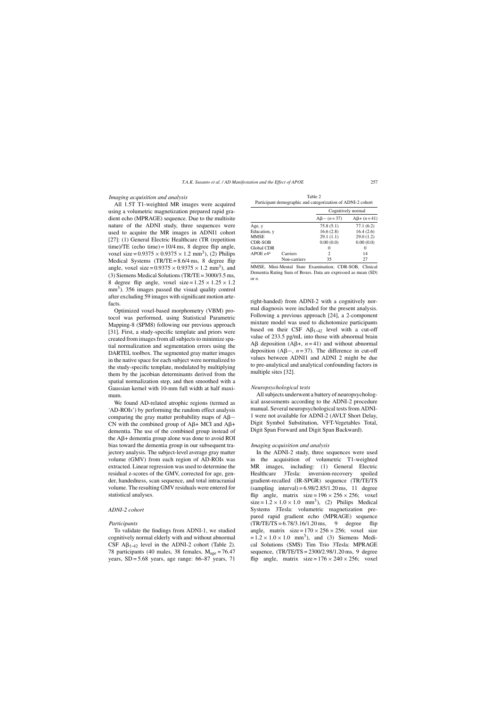#### *Imaging acquisition and analysis*

All 1.5T T1-weighted MR images were acquired using a volumetric magnetization prepared rapid gradient echo (MPRAGE) sequence. Due to the multisite nature of the ADNI study, three sequences were used to acquire the MR images in ADNI1 cohort [27]: (1) General Electric Healthcare (TR (repetition time)/TE (echo time) =  $10/4$  ms, 8 degree flip angle, voxel size =  $0.9375 \times 0.9375 \times 1.2$  mm<sup>3</sup>), (2) Philips Medical Systems  $(TR/TE = 8.6/4 \text{ ms}, 8 \text{ degree flip})$ angle, voxel size =  $0.9375 \times 0.9375 \times 1.2$  mm<sup>3</sup>), and (3) Siemens Medical Solutions (TR/TE = 3000/3.5 ms, 8 degree flip angle, voxel size =  $1.25 \times 1.25 \times 1.2$  $mm<sup>3</sup>$ ). 356 images passed the visual quality control after excluding 59 images with significant motion artefacts.

Optimized voxel-based morphometry (VBM) protocol was performed, using Statistical Parametric Mapping-8 (SPM8) following our previous approach [31]. First, a study-specific template and priors were created from images from all subjects to minimize spatial normalization and segmentation errors using the DARTEL toolbox. The segmented gray matter images in the native space for each subject were normalized to the study-specific template, modulated by multiplying them by the jacobian determinants derived from the spatial normalization step, and then smoothed with a Gaussian kernel with 10-mm full width at half maximum.

We found AD-related atrophic regions (termed as 'AD-ROIs') by performing the random effect analysis comparing the gray matter probability maps of Aβ– CN with the combined group of  $A\beta$ + MCI and  $A\beta$ + dementia. The use of the combined group instead of the  $\mathbf{A}\mathbf{\beta}+$  dementia group alone was done to avoid ROI bias toward the dementia group in our subsequent trajectory analysis. The subject-level average gray matter volume (GMV) from each region of AD-ROIs was extracted. Linear regression was used to determine the residual z-scores of the GMV, corrected for age, gender, handedness, scan sequence, and total intracranial volume. The resulting GMV residuals were entered for statistical analyses.

#### *ADNI-2 cohort*

#### *Participants*

To validate the findings from ADNI-1, we studied cognitively normal elderly with and without abnormal CSF  $\mathbf{A}\beta_{1-42}$  level in the ADNI-2 cohort (Table 2). 78 participants (40 males, 38 females,  $M_{\text{age}} = 76.47$ years,  $SD = 5.68$  years, age range:  $66-87$  years, 71

| Table 2                                                     |
|-------------------------------------------------------------|
| Participant demographic and categorization of ADNI-2 cohort |

|                                   |              | Cognitively normal  |                     |
|-----------------------------------|--------------|---------------------|---------------------|
|                                   |              | $A\beta - (n = 37)$ | $A\beta + (n = 41)$ |
| Age, y                            |              | 75.8(5.1)           | 77.1(6.2)           |
| Education, y                      |              | 16.6(2.8)           | 16.4(2.6)           |
| <b>MMSE</b>                       |              | 29.1(1.1)           | 29.0(1.2)           |
| <b>CDR-SOB</b>                    |              | 0.00(0.0)           | 0.00(0.0)           |
| <b>Global CDR</b>                 |              | 0                   |                     |
| APOE $\varepsilon$ 4 <sup>a</sup> | Carriers     | 2                   | 14                  |
|                                   | Non-carriers | 35                  | 27                  |

MMSE, Mini-Mental State Examination; CDR-SOB, Clinical Dementia Rating Sum of Boxes. Data are expressed as mean (SD) or *n*.

right-handed) from ADNI-2 with a cognitively normal diagnosis were included for the present analysis. Following a previous approach [24], a 2-component mixture model was used to dichotomize participants based on their CSF  $\mathbf{A}\mathbf{B}_{1-42}$  level with a cut-off value of 233.5 pg/mL into those with abnormal brain A $\beta$  deposition (A $\beta$ +, *n*=41) and without abnormal deposition (A $\beta$ –, *n* = 37). The difference in cut-off values between ADNI1 and ADNI 2 might be due to pre-analytical and analytical confounding factors in multiple sites [32].

#### *Neuropsychological tests*

All subjects underwent a battery of neuropsychological assessments according to the ADNI-2 procedure manual. Several neuropsychological tests from ADNI-1 were not available for ADNI-2 (AVLT Short Delay, Digit Symbol Substitution, VFT-Vegetables Total, Digit Span Forward and Digit Span Backward).

#### *Imaging acquisition and analysis*

In the ADNI-2 study, three sequences were used in the acquisition of volumetric T1-weighted MR images, including: (1) General Electric Healthcare 3Tesla: inversion-recovery spoiled gradient-recalled (IR-SPGR) sequence (TR/TE/TS  $(sampling interval) = 6.98/2.85/1.20$  ms, 11 degree flip angle, matrix  $size = 196 \times 256 \times 256$ ; voxel  $size = 1.2 \times 1.0 \times 1.0$  mm<sup>3</sup>), (2) Philips Medical Systems 3Tesla: volumetric magnetization prepared rapid gradient echo (MPRAGE) sequence  $(TR/TE/TS = 6.78/3.16/1.20$  ms, 9 degree flip angle, matrix  $size = 170 \times 256 \times 256$ ; voxel size  $= 1.2 \times 1.0 \times 1.0$  mm<sup>3</sup>), and (3) Siemens Medical Solutions (SMS) Tim Trio 3Tesla: MPRAGE sequence, (TR/TE/TS = 2300/2.98/1.20 ms, 9 degree flip angle, matrix  $size = 176 \times 240 \times 256$ ; voxel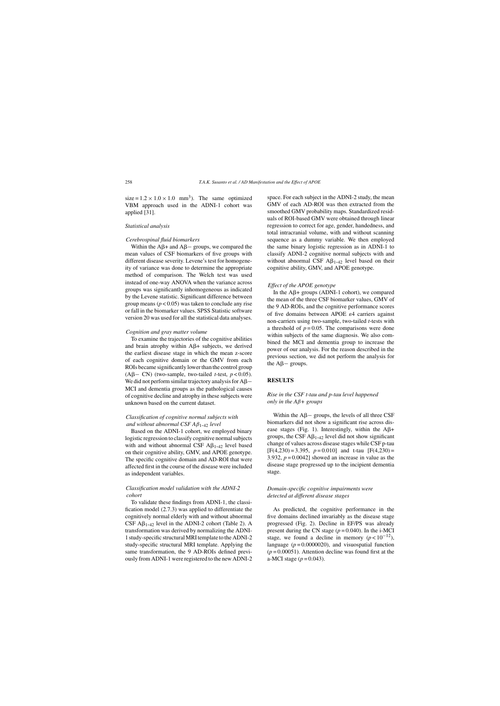size =  $1.2 \times 1.0 \times 1.0$  mm<sup>3</sup>). The same optimized VBM approach used in the ADNI-1 cohort was applied [31].

#### *Statistical analysis*

## *Cerebrospinal fluid biomarkers*

Within the A $\beta$ + and A $\beta$  – groups, we compared the mean values of CSF biomarkers of five groups with different disease severity. Levene's test for homogeneity of variance was done to determine the appropriate method of comparison. The Welch test was used instead of one-way ANOVA when the variance across groups was significantly inhomogeneous as indicated by the Levene statistic. Significant difference between group means  $(p < 0.05)$  was taken to conclude any rise or fall in the biomarker values. SPSS Statistic software version 20 was used for all the statistical data analyses.

#### *Cognition and gray matter volume*

To examine the trajectories of the cognitive abilities and brain atrophy within  $\mathbf{A}\mathbf{B}$ + subjects, we derived the earliest disease stage in which the mean z-score of each cognitive domain or the GMV from each ROIs became significantly lower than the control group ( $\text{AB}-\text{CN}$ ) (two-sample, two-tailed *t*-test,  $p < 0.05$ ). We did not perform similar trajectory analysis for Aβ– MCI and dementia groups as the pathological causes of cognitive decline and atrophy in these subjects were unknown based on the current dataset.

# *Classification of cognitive normal subjects with and without abnormal CSF A*β1*-*<sup>42</sup> *level*

Based on the ADNI-1 cohort, we employed binary logistic regression to classify cognitive normal subjects with and without abnormal CSF  $A\beta_{1-42}$  level based on their cognitive ability, GMV, and APOE genotype. The specific cognitive domain and AD-ROI that were affected first in the course of the disease were included as independent variables.

# *Classification model validation with the ADNI-2 cohort*

To validate these findings from ADNI-1, the classification model (2.7.3) was applied to differentiate the cognitively normal elderly with and without abnormal CSF  $\mathbf{A}\mathbf{\beta}_{1-42}$  level in the ADNI-2 cohort (Table 2). A transformation was derived by normalizing the ADNI-1 study-specific structural MRI template to the ADNI-2 study-specific structural MRI template. Applying the same transformation, the 9 AD-ROIs defined previously from ADNI-1 were registered to the new ADNI-2 space. For each subject in the ADNI-2 study, the mean GMV of each AD-ROI was then extracted from the smoothed GMV probability maps. Standardized residuals of ROI-based GMV were obtained through linear regression to correct for age, gender, handedness, and total intracranial volume, with and without scanning sequence as a dummy variable. We then employed the same binary logistic regression as in ADNI-1 to classify ADNI-2 cognitive normal subjects with and without abnormal CSF  $\mathbf{A}\mathbf{\beta}_{1-42}$  level based on their cognitive ability, GMV, and APOE genotype.

# *Effect of the APOE genotype*

In the  $\mathbf{A}\mathbf{B}$ + groups (ADNI-1 cohort), we compared the mean of the three CSF biomarker values, GMV of the 9 AD-ROIs, and the cognitive performance scores of five domains between APOE  $\varepsilon$ 4 carriers against non-carriers using two-sample, two-tailed *t*-tests with a threshold of  $p = 0.05$ . The comparisons were done within subjects of the same diagnosis. We also combined the MCI and dementia group to increase the power of our analysis. For the reason described in the previous section, we did not perform the analysis for the  $A\beta$  groups.

## **RESULTS**

# *Rise in the CSF t-tau and p-tau level happened only in the A*β*+ groups*

Within the  $\mathbf{A}\mathbf{B}-$  groups, the levels of all three CSF biomarkers did not show a significant rise across disease stages (Fig. 1). Interestingly, within the  $\mathbf{A}\mathbf{B}+$ groups, the CSF  $\text{AB}_{1-42}$  level did not show significant change of values across disease stages while CSF p-tau  $[F(4,230) = 3.395, p = 0.010]$  and t-tau  $[F(4,230) =$ 3.932,  $p = 0.0042$ ] showed an increase in value as the disease stage progressed up to the incipient dementia stage.

# *Domain-specific cognitive impairments were detected at different disease stages*

As predicted, the cognitive performance in the five domains declined invariably as the disease stage progressed (Fig. 2). Decline in EF/PS was already present during the CN stage  $(p=0.040)$ . In the i-MCI stage, we found a decline in memory  $(p < 10^{-12})$ , language  $(p=0.0000020)$ , and visuospatial function  $(p=0.00051)$ . Attention decline was found first at the a-MCI stage ( $p = 0.043$ ).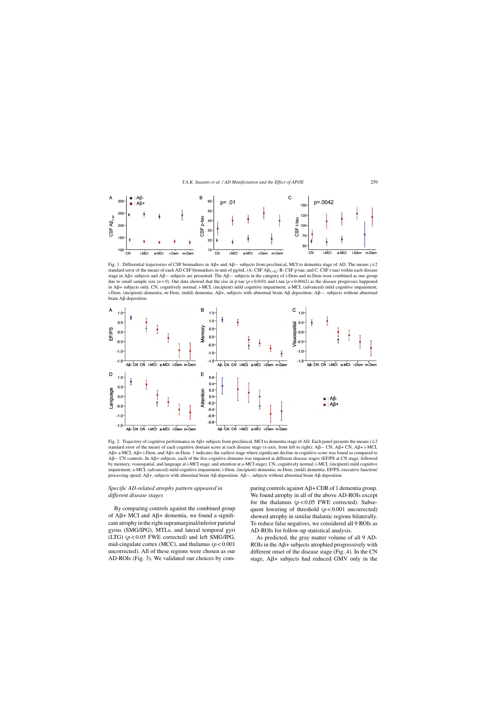

Fig. 1. Differential trajectories of CSF biomarkers in A $\beta$ + and A $\beta$ – subjects from preclinical, MCI to dementia stage of AD. The means ( $\pm 2$ ) standard error of the mean) of each AD CSF biomarkers in unit of pg/mL (A: CSF A $\beta_{1-42}$ ; B: CSF p-tau; and C: CSF t-tau) within each disease stage in Aβ+ subjects and Aβ – subjects are presented. The Aβ – subjects in the category of i-Dem and m-Dem were combined as one group due to small sample size  $(n=9)$ . Our data showed that the rise in p-tau  $(p=0.010)$  and t-tau  $(p=0.0042)$  as the disease progresses happened in AB+ subjects only. CN, cognitively normal; i-MCI, (incipient) mild cognitive impairment; a-MCI, (advanced) mild cognitive impairment; i-Dem, (incipient) dementia; m-Dem, (mild) dementia; Aβ+, subjects with abnormal brain Aβ deposition; Aβ–, subjects without abnormal brain  $A\beta$  deposition.



Fig. 2. Trajectory of cognitive performance in A $\beta$ + subjects from preclinical, MCI to dementia stage of AD. Each panel presents the means ( $\pm 2$ ) standard error of the mean) of each cognitive domain score at each disease stage (x-axis, from left to right): Aβ– CN, Aβ+ CN, Aβ+ i-MCI,  $A\beta$ + a-MCI,  $A\beta$ + i-Dem, and  $A\beta$ + m-Dem.  $\uparrow$  indicates the earliest stage where significant decline in cognitive score was found as compared to Aβ – CN controls. In Aβ+ subjects, each of the five cognitive domains was impaired at different disease stages (EF/PS at CN stage, followed by memory, visuospatial, and language at i-MCI stage, and attention at a-MCI stage). CN, cognitively normal; i-MCI, (incipient) mild cognitive impairment; a-MCI, (advanced) mild cognitive impairment; i-Dem, (incipient) dementia; m-Dem, (mild) dementia; EP/PS, executive function/ processing speed; A $\beta$ +, subjects with abnormal brain A $\beta$  deposition; A $\beta$ –, subjects without abnormal brain A $\beta$  deposition.

## *Specific AD-related atrophy pattern appeared in different disease stages*

By comparing controls against the combined group of  $A\beta$ + MCI and  $A\beta$ + dementia, we found a significant atrophy in the right supramarginal/inferior parietal gyrus (SMG/IPG), MTLs, and lateral temporal gyri (LTG) (*p* < 0.05 FWE corrected) and left SMG/IPG, mid-cingulate cortex (MCC), and thalamus (*p* < 0.001 uncorrected). All of these regions were chosen as our AD-ROIs (Fig. 3). We validated our choices by comparing controls against  $\overrightarrow{AB} + \overrightarrow{CDR}$  of 1 dementia group. We found atrophy in all of the above AD-ROIs except for the thalamus  $(p < 0.05$  FWE corrected). Subsequent lowering of threshold (*p* < 0.001 uncorrected) showed atrophy in similar thalamic regions bilaterally. To reduce false negatives, we considered all 9 ROIs as AD-ROIs for follow-up statistical analysis.

As predicted, the gray matter volume of all 9 AD-ROIs in the  $\mathbf{A}\mathbf{B}$ + subjects atrophied progressively with different onset of the disease stage (Fig. 4). In the CN stage,  $A\beta$ + subjects had reduced GMV only in the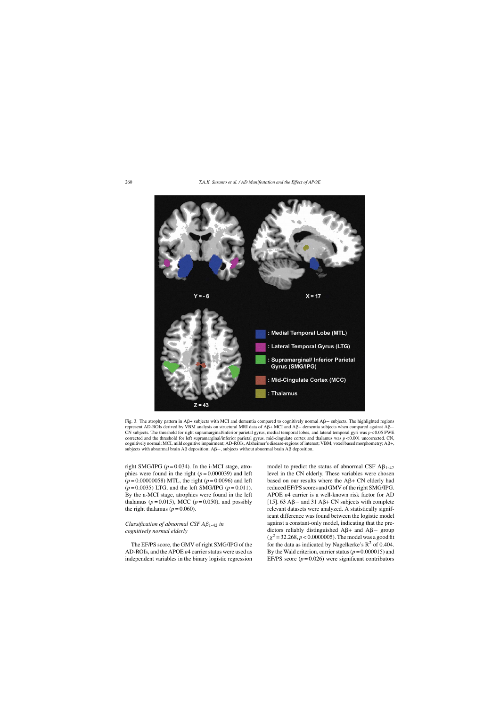

Fig. 3. The atrophy pattern in Aβ+ subjects with MCI and dementia compared to cognitively normal Aβ– subjects. The highlighted regions represent AD-ROIs derived by VBM analysis on structural MRI data of Aβ+ MCI and Aβ+ dementia subjects when compared against Aβ– CN subjects. The threshold for right supramarginal/inferior parietal gyrus, medial temporal lobes, and lateral temporal gyri was *p* < 0.05 FWE corrected and the threshold for left supramarginal/inferior parietal gyrus, mid-cingulate cortex and thalamus was *p* < 0.001 uncorrected. CN, cognitively normal; MCI, mild cognitive impairment; AD-ROIs, Alzheimer's disease-regions of interest; VBM, voxel based morphometry; A $\beta +$ , subjects with abnormal brain A $\beta$  deposition; A $\beta$ –, subjects without abnormal brain A $\beta$  deposition.

right SMG/IPG  $(p=0.034)$ . In the i-MCI stage, atrophies were found in the right  $(p=0.000039)$  and left (*p* = 0.00000058) MTL, the right (*p* = 0.0096) and left  $(p=0.0035)$  LTG, and the left SMG/IPG  $(p=0.011)$ . By the a-MCI stage, atrophies were found in the left thalamus ( $p = 0.015$ ), MCC ( $p = 0.050$ ), and possibly the right thalamus ( $p = 0.060$ ).

# *Classification of abnormal CSF A*β1*-*<sup>42</sup> *in cognitively normal elderly*

The EF/PS score, the GMV of right SMG/IPG of the AD-ROIs, and the APOE  $\varepsilon$ 4 carrier status were used as independent variables in the binary logistic regression

model to predict the status of abnormal CSF  $AB_{1-42}$ level in the CN elderly. These variables were chosen based on our results where the  $AB+ CN$  elderly had reduced EF/PS scores and GMV of the right SMG/IPG. APOE  $\varepsilon$ 4 carrier is a well-known risk factor for AD [15]. 63 A $\beta$  – and 31 A $\beta$ + CN subjects with complete relevant datasets were analyzed. A statistically significant difference was found between the logistic model against a constant-only model, indicating that the predictors reliably distinguished A $\beta$ + and A $\beta$  group  $(\chi^2 = 32.268, p < 0.0000005)$ . The model was a good fit for the data as indicated by Nagelkerke's  $R^2$  of 0.404. By the Wald criterion, carrier status ( $p = 0.000015$ ) and EF/PS score  $(p=0.026)$  were significant contributors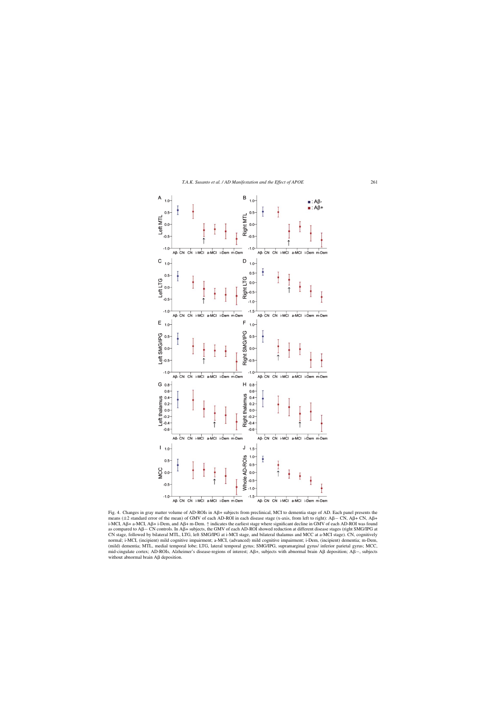

Fig. 4. Changes in gray matter volume of AD-ROIs in A $\beta$ + subjects from preclinical, MCI to dementia stage of AD. Each panel presents the means (±2 standard error of the mean) of GMV of each AD-ROI in each disease stage (x-axis, from left to right): Aβ– CN, Aβ+ CN, Aβ+ i-MCI,  $A\beta$ + a-MCI,  $A\beta$ + i-Dem, and  $A\beta$ + m-Dem.  $\uparrow$  indicates the earliest stage where significant decline in GMV of each AD-ROI was found as compared to A $\beta$  – CN controls. In A $\beta$ + subjects, the GMV of each AD-ROI showed reduction at different disease stages (right SMG/IPG at CN stage, followed by bilateral MTL, LTG, left SMG/IPG at i-MCI stage, and bilateral thalamus and MCC at a-MCI stage). CN, cognitively normal; i-MCI, (incipient) mild cognitive impairment; a-MCI, (advanced) mild cognitive impairment; i-Dem, (incipient) dementia; m-Dem, (mild) dementia; MTL, medial temporal lobe; LTG, lateral temporal gyrus; SMG/IPG, supramarginal gyrus/ inferior parietal gyrus; MCC, mid-cingulate cortex; AD-ROIs, Alzheimer's disease-regions of interest; Aβ+, subjects with abnormal brain Aβ deposition; Aβ-, subjects without abnormal brain  $A\beta$  deposition.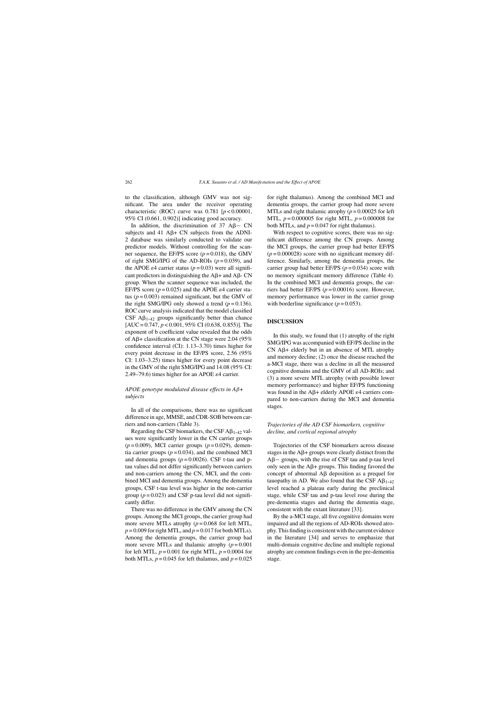to the classification, although GMV was not significant. The area under the receiver operating characteristic (ROC) curve was  $0.781$  [ $p < 0.00001$ , 95% CI (0.661, 0.902)] indicating good accuracy.

In addition, the discrimination of  $37$  A $\beta$  – CN subjects and 41  $\text{A}\beta$ + CN subjects from the ADNI-2 database was similarly conducted to validate our predictor models. Without controlling for the scanner sequence, the EF/PS score  $(p=0.018)$ , the GMV of right SMG/IPG of the AD-ROIs  $(p=0.039)$ , and the APOE  $\varepsilon$ 4 carrier status ( $p$  = 0.03) were all significant predictors in distinguishing the  $\mathbf{A}\mathbf{B}$ + and  $\mathbf{A}\mathbf{B}$ - CN group. When the scanner sequence was included, the EF/PS score ( $p = 0.025$ ) and the APOE  $\varepsilon$ 4 carrier status ( $p = 0.003$ ) remained significant, but the GMV of the right SMG/IPG only showed a trend  $(p=0.136)$ . ROC curve analysis indicated that the model classified CSF  $\mathbf{A}\mathbf{\beta}_{1-42}$  groups significantly better than chance [AUC = 0.747, *p* < 0.001, 95% CI (0.638, 0.855)]. The exponent of b coefficient value revealed that the odds of A $\beta$ + classification at the CN stage were 2.04 (95%) confidence interval (CI): 1.13–3.70) times higher for every point decrease in the EF/PS score, 2.56 (95% CI: 1.03–3.25) times higher for every point decrease in the GMV of the right SMG/IPG and 14.08 (95% CI: 2.49–79.6) times higher for an APOE  $\varepsilon$ 4 carrier.

# *APOE genotype modulated disease effects in A*β*+ subjects*

In all of the comparisons, there was no significant difference in age, MMSE, and CDR-SOB between carriers and non-carriers (Table 3).

Regarding the CSF biomarkers, the CSF  $\mathbf{A}\mathbf{\beta}_{1-42}$  values were significantly lower in the CN carrier groups  $(p=0.009)$ , MCI carrier groups  $(p=0.029)$ , dementia carrier groups  $(p=0.034)$ , and the combined MCI and dementia groups  $(p=0.0026)$ . CSF t-tau and ptau values did not differ significantly between carriers and non-carriers among the CN, MCI, and the combined MCI and dementia groups. Among the dementia groups, CSF t-tau level was higher in the non-carrier group  $(p = 0.023)$  and CSF p-tau level did not significantly differ.

There was no difference in the GMV among the CN groups. Among the MCI groups, the carrier group had more severe MTLs atrophy  $(p=0.068$  for left MTL,  $p = 0.009$  for right MTL, and  $p = 0.017$  for both MTLs). Among the dementia groups, the carrier group had more severe MTLs and thalamic atrophy  $(p=0.001)$ for left MTL,  $p = 0.001$  for right MTL,  $p = 0.0004$  for both MTLs,  $p = 0.045$  for left thalamus, and  $p = 0.025$  for right thalamus). Among the combined MCI and dementia groups, the carrier group had more severe MTLs and right thalamic atrophy (*p* = 0.00025 for left MTL, *p* = 0.000005 for right MTL, *p* = 0.000008 for both MTLs, and  $p = 0.047$  for right thalamus).

With respect to cognitive scores, there was no significant difference among the CN groups. Among the MCI groups, the carrier group had better EF/PS  $(p=0.000028)$  score with no significant memory difference. Similarly, among the dementia groups, the carrier group had better EF/PS  $(p=0.034)$  score with no memory significant memory difference (Table 4). In the combined MCI and dementia groups, the carriers had better EF/PS (*p* = 0.00016) score. However, memory performance was lower in the carrier group with borderline significance  $(p = 0.053)$ .

### **DISCUSSION**

In this study, we found that (1) atrophy of the right SMG/IPG was accompanied with EF/PS decline in the  $CN$  A $\beta$ + elderly but in an absence of MTL atrophy and memory decline; (2) once the disease reached the a-MCI stage, there was a decline in all the measured cognitive domains and the GMV of all AD-ROIs; and (3) a more severe MTL atrophy (with possible lower memory performance) and higher EF/PS functioning was found in the A $\beta$ + elderly APOE  $\varepsilon$ 4 carriers compared to non-carriers during the MCI and dementia stages.

# *Trajectories of the AD CSF biomarkers, cognitive decline, and cortical regional atrophy*

Trajectories of the CSF biomarkers across disease stages in the  $\mathbf{A}\mathbf{B}$ + groups were clearly distinct from the  $A\beta$  groups, with the rise of CSF tau and p-tau level only seen in the  $A\beta$ + groups. This finding favored the concept of abnormal  $\overrightarrow{AB}$  deposition as a prequel for tauopathy in AD. We also found that the CSF  $\text{AB}_{1-42}$ level reached a plateau early during the preclinical stage, while CSF tau and p-tau level rose during the pre-dementia stages and during the dementia stage, consistent with the extant literature [33].

By the a-MCI stage, all five cognitive domains were impaired and all the regions of AD-ROIs showed atrophy. This finding is consistent with the current evidence in the literature [34] and serves to emphasize that multi-domain cognitive decline and multiple regional atrophy are common findings even in the pre-dementia stage.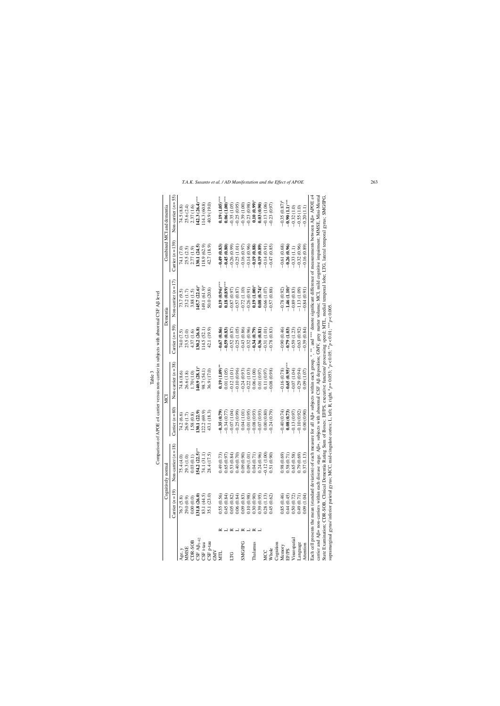|                               |           |                                                                             | Cognitively normal                                                                                                                                                                                                                                                                                                                                                                                                                                                                                                                                                                                                                                                                                                                    |                    | MCI                  |                    | Dementia               |                   | Combined MCI and dementia |
|-------------------------------|-----------|-----------------------------------------------------------------------------|---------------------------------------------------------------------------------------------------------------------------------------------------------------------------------------------------------------------------------------------------------------------------------------------------------------------------------------------------------------------------------------------------------------------------------------------------------------------------------------------------------------------------------------------------------------------------------------------------------------------------------------------------------------------------------------------------------------------------------------|--------------------|----------------------|--------------------|------------------------|-------------------|---------------------------|
|                               |           | Carrier $(n = 19)$                                                          | Non-carrier $(n=18)$                                                                                                                                                                                                                                                                                                                                                                                                                                                                                                                                                                                                                                                                                                                  | Carrier $(n = 80)$ | Non-carrier $(n=38)$ | Carrier $(n = 59)$ | Non-carrier $(n = 17)$ | Carrier $(n=139)$ | Non-carrier $(n=55)$      |
| Age, y                        |           | 76.7 (5.8)                                                                  | 75.4(4.0)                                                                                                                                                                                                                                                                                                                                                                                                                                                                                                                                                                                                                                                                                                                             | 74.2 (6.6)         | 74.8 (8.6)           | 74.0 (7.5)         | 73.7 (9.5)             | 74.1 (7.0)        | 74.5 (8.8)                |
| <b>MMSE</b>                   |           | 29.0 (0.9)                                                                  | 29.3(1.0)                                                                                                                                                                                                                                                                                                                                                                                                                                                                                                                                                                                                                                                                                                                             | 26.9 (1.7)         | 26.6 (1.8)           | 23.5 (2.0)         | 23.2(1.7)              | 25.5(2.5)         | 25.6 (2.4)                |
| CDR-SOB                       |           | 0.00(0.0)                                                                   |                                                                                                                                                                                                                                                                                                                                                                                                                                                                                                                                                                                                                                                                                                                                       | 1.58 (0.8)         | 1.70 (1.0)           | 4.37 (1.6)         | 3.88(1.5)              | 2.77 (1.9)        | 2.37 (1.6)                |
| $\text{CSF}$ A $\beta_{1-42}$ |           | (31.8(26.0)                                                                 | $\frac{0.03(0.1)}{154.2(22.5)**}$                                                                                                                                                                                                                                                                                                                                                                                                                                                                                                                                                                                                                                                                                                     | (30.1(22.9))       | $(40.9 (28.1)^*$     | (30.2 (26.8))      | $145.7(22.6)$ *        | (30.1(24.5)       | $(42.3 (26.4)$ ***        |
| $CSF t-tau$                   |           | 83.1 (44.5)                                                                 | 74.1 (31.1)                                                                                                                                                                                                                                                                                                                                                                                                                                                                                                                                                                                                                                                                                                                           | (22.2(69.9))       | 98.7 (54.1)          | (14.5 (52.1)       | $149.1(61.9)$ *        | (18.9(62.9)       | 114.3(60.8)               |
| $CSF$ p-tau<br>GMV            |           | 35.1 (23.0)                                                                 | 28.4 (17.5)                                                                                                                                                                                                                                                                                                                                                                                                                                                                                                                                                                                                                                                                                                                           | 43.1 (18.3)        | 36.9 (17.0)          | 42.1 (19.9)        | 50.0 (20.8)            | 42.7 (18.9)       | 40.9 (19.0)               |
| MЩ                            |           | 1.55 (0.56)                                                                 | (5)<br>0.49(0.                                                                                                                                                                                                                                                                                                                                                                                                                                                                                                                                                                                                                                                                                                                        | $-0.35(0.79)$      | $0.19(1.09)^{**}$    | $-0.67(0.86)$      | $0.19(0.96)$ ***       | $-0.49(0.83)$     | $0.19(1.05)$ ***          |
|                               |           | 0.45(0.84)                                                                  | (50)<br>0.65(0)                                                                                                                                                                                                                                                                                                                                                                                                                                                                                                                                                                                                                                                                                                                       | $-0.34(0.77)$      | 0.01(1.05)           | $-0.59(0.83)$      | $0.18(0.89)$ ***       | $-0.45(0.80)$     | $0.06(1.00)$ ***          |
| ELG                           |           | $\frac{0.05(0.82)}{0.06(0.84)}$                                             | (84)<br>0.53(0)                                                                                                                                                                                                                                                                                                                                                                                                                                                                                                                                                                                                                                                                                                                       | $-0.07(1.04)$      | $-0.12(1.01)$        | $-0.52(0.87)$      | $-0.87(0.97)$          | $-0.26(0.99)$     | $-0.35(1.05)$             |
|                               |           |                                                                             | (01, 1)<br>0.40(0)                                                                                                                                                                                                                                                                                                                                                                                                                                                                                                                                                                                                                                                                                                                    | $-0.25(0.99)$      | $-0.10(0.96)$        | $-0.25(1.05)$      | $-0.57(0.87)$          | $-0.25(1.01)$     | $-0.25(0.95)$             |
| SMG/IPG                       | $\approx$ | $0.09(0.83)$<br>$0.10(0.98)$                                                | (06)<br>0.09(0.                                                                                                                                                                                                                                                                                                                                                                                                                                                                                                                                                                                                                                                                                                                       | 0.04(1.01)         | $-0.24(0.93)$        | $-0.43(0.86)$      | $-0.72(1.10)$          | $-0.16(0.97)$     | $-0.39(1.00)$             |
|                               |           |                                                                             | $\overline{0}$<br>0.09(1.                                                                                                                                                                                                                                                                                                                                                                                                                                                                                                                                                                                                                                                                                                             | $-0.01(0.95)$      | $-0.22(1.03)$        | $-0.32(0.96)$      | $-0.26(0.91)$          | $-0.14(0.96)$     | $-0.23(0.98)$             |
| Thalamus                      | ≃         | $\begin{array}{c} 0.30\,(0.90) \\ 0.39\,(0.95) \\ 0.28\,(1.13) \end{array}$ | $\overline{171}$<br>0.04(0.                                                                                                                                                                                                                                                                                                                                                                                                                                                                                                                                                                                                                                                                                                           | $-0.08(0.93)$      | 0.06(1.00)           | $-0.34(0.79)$      | $0.19(1.00)$ *         | $-0.19(0.88)$     | $0.10(0.99)$ *            |
|                               |           |                                                                             | .96<br>$0.240$<br>-0.12 (1                                                                                                                                                                                                                                                                                                                                                                                                                                                                                                                                                                                                                                                                                                            | $-0.07(0.93)$      | 0.01(0.97)           | $-0.36(0.81)$      | $0.08(0.74)$ *         | $-0.19(0.89)$     | 0.03(0.90)                |
| <b>MCC</b>                    |           |                                                                             | $\widetilde{\mathrm{SO}}$                                                                                                                                                                                                                                                                                                                                                                                                                                                                                                                                                                                                                                                                                                             | 0.00(0.80)         | 0.11(0.97)           | $-0.31(1.01)$      | $-0.66(1.07)$          | $-0.14(0.91)$     | $-0.13(1.06)$             |
| Whole                         |           | 0.45(0.62)                                                                  | $\widetilde{90}$<br>0.51(0)                                                                                                                                                                                                                                                                                                                                                                                                                                                                                                                                                                                                                                                                                                           | $-0.24(0.79)$      | $-0.08(0.98)$        | $-0.78(0.83)$      | $-0.57(0.88)$          | $-0.47(0.85)$     | $-0.23(0.97)$             |
| Cognition                     |           |                                                                             |                                                                                                                                                                                                                                                                                                                                                                                                                                                                                                                                                                                                                                                                                                                                       |                    |                      |                    |                        |                   |                           |
| Memory                        |           | 0.85(0.46)                                                                  | (69)<br>0.98(0.                                                                                                                                                                                                                                                                                                                                                                                                                                                                                                                                                                                                                                                                                                                       | $-0.40(0.74)$      | $-0.16(0.78)$        | $-0.90(0.46)$      | $-0.78(0.92)$          | $-0.61(0.68)$     | $-0.35(0.87)a$            |
| <b>EF/PS</b>                  |           | 0.44(0.45)                                                                  | 0.58(0.71)                                                                                                                                                                                                                                                                                                                                                                                                                                                                                                                                                                                                                                                                                                                            | 0.08(0.73)         | $-0.65(0.95)$ ***    | $-0.79(1.03)$      | $-1.46(1.10)$ *        | $-0.26(0.96)$     | $-0.90(1.1)$ ***          |
| Visuospatial                  |           | 0.50(0.72)                                                                  | .58)<br>0.65(0)                                                                                                                                                                                                                                                                                                                                                                                                                                                                                                                                                                                                                                                                                                                       | $-0.13(0.97)$      | $-0.07(1.04)$        | $-0.59(1.23)$      | $-0.89(0.83)$          | $-0.33(1.1)$      | $-0.32(1.0)$              |
| Language                      |           | $0.49(0.71)$<br>$0.09(1.04)$                                                | 0.79(0.69)                                                                                                                                                                                                                                                                                                                                                                                                                                                                                                                                                                                                                                                                                                                            | $-0.10(0.92)$      | $-0.29(0.94)$        | $-0.63(0.92)$      | $-1.13(1.09)$          | $-0.32(0.96)$     | $-0.55(1.0)$              |
| Attention                     |           |                                                                             | 1.13<br>0.37(1)                                                                                                                                                                                                                                                                                                                                                                                                                                                                                                                                                                                                                                                                                                                       | 0.00(0.90)         | 0.09(1.07)           | $-0.39(0.84)$      | $-0.84(0.91)$          | $-0.16(0.89)$     | $-0.20(1.1)$              |
|                               |           |                                                                             | Each cell presents the mean (standard deviation) of each measure for all Aß+ subjects within each group. *, ***, and *** denote significant difference of measurements between Aß+ APOE e4<br>carrier and Aß+ non-carriers within each disease stage. Aß+, subjects with abnormal CSF Aß deposition; GMV, grey matter volume; MCI, mild cognitive impairment; MMSE, Mini-Mental<br>State Examination; CDR-SOB, Clinical Dementia Rating Sum of Boxes; EF/PS, executive function/ processing speed; MTL, medial temporal lobe; LTG, lateral temporal gyrus; SMG/IPG,<br>supramarginal gyrus/ inferior parietal gyrus; MCC, mid-cingulate cortex; L, left; R, right. ${}^4p=0.053$ ; ${}^*p<0.05$ ; ${}^{**}p<0.01$ ; ${}^{***}p<0.005$ |                    |                      |                    |                        |                   |                           |
|                               |           |                                                                             |                                                                                                                                                                                                                                                                                                                                                                                                                                                                                                                                                                                                                                                                                                                                       |                    |                      |                    |                        |                   |                           |

Table 3<br>Comparison of APOE e4 carrier versus non-carrier in subjects with abnormal CSF AB level Comparison of APOE  $\varepsilon$ 4 carrier versus non-carrier in subjects with abnormal CSF A level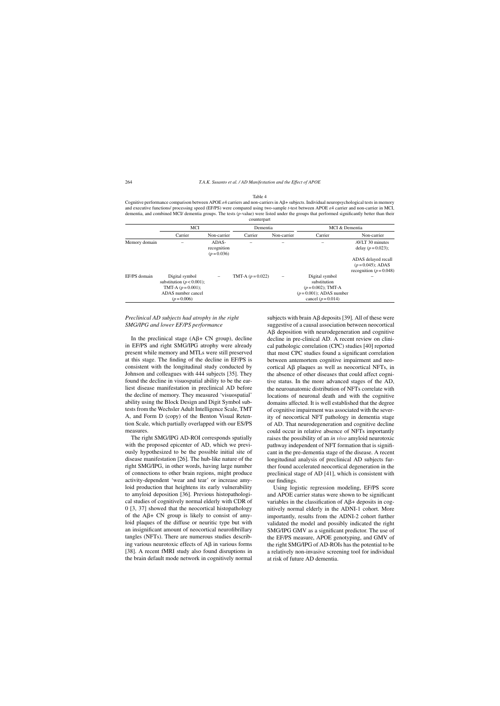Table 4 Cognitive performance comparison between APOE  $\varepsilon$ 4 carriers and non-carriers in A $\beta$ + subjects. Individual neuropsychological tests in memory and executive functions/ processing speed (EF/PS) were compared using two-sample t-test between APOE  $\varepsilon$ 4 carrier and non-carrier in MCI, dementia, and combined MCI/ dementia groups. The tests (*p*-value) were listed under the groups that performed significantly better than their

|               |                                                                                                             |                                     | counterpart       |             |                                                                                                            |                                                                            |
|---------------|-------------------------------------------------------------------------------------------------------------|-------------------------------------|-------------------|-------------|------------------------------------------------------------------------------------------------------------|----------------------------------------------------------------------------|
|               | <b>MCI</b>                                                                                                  |                                     | Dementia          |             | MCI & Dementia                                                                                             |                                                                            |
|               | Carrier                                                                                                     | Non-carrier                         | Carrier           | Non-carrier | Carrier                                                                                                    | Non-carrier                                                                |
| Memory domain |                                                                                                             | ADAS-<br>recognition<br>$(p=0.036)$ |                   |             |                                                                                                            | <b>AVLT</b> 30 minutes<br>delay $(p = 0.023)$ ;                            |
|               |                                                                                                             |                                     |                   |             |                                                                                                            | ADAS delayed recall<br>$(p = 0.045)$ ; ADAS<br>recognition ( $p = 0.048$ ) |
| EF/PS domain  | Digital symbol<br>substitution ( $p < 0.001$ );<br>TMT-A $(p=0.001)$ ;<br>ADAS number cancel<br>$(p=0.006)$ | $\qquad \qquad -$                   | TMT-A $(p=0.022)$ |             | Digital symbol<br>substitution<br>$(p=0.002)$ ; TMT-A<br>$(p=0.001)$ ; ADAS number<br>cancel $(p = 0.014)$ |                                                                            |

# *Preclinical AD subjects had atrophy in the right SMG/IPG and lower EF/PS performance*

In the preclinical stage  $(AB+ CN)$  group), decline in EF/PS and right SMG/IPG atrophy were already present while memory and MTLs were still preserved at this stage. The finding of the decline in EF/PS is consistent with the longitudinal study conducted by Johnson and colleagues with 444 subjects [35]. They found the decline in visuospatial ability to be the earliest disease manifestation in preclinical AD before the decline of memory. They measured 'visuospatial' ability using the Block Design and Digit Symbol subtests from the Wechsler Adult Intelligence Scale, TMT A, and Form D (copy) of the Benton Visual Retention Scale, which partially overlapped with our ES/PS measures.

The right SMG/IPG AD-ROI corresponds spatially with the proposed epicenter of AD, which we previously hypothesized to be the possible initial site of disease manifestation [26]. The hub-like nature of the right SMG/IPG, in other words, having large number of connections to other brain regions, might produce activity-dependent 'wear and tear' or increase amyloid production that heightens its early vulnerability to amyloid deposition [36]. Previous histopathological studies of cognitively normal elderly with CDR of 0 [3, 37] showed that the neocortical histopathology of the  $A\beta$ + CN group is likely to consist of amyloid plaques of the diffuse or neuritic type but with an insignificant amount of neocortical neurofibrillary tangles (NFTs). There are numerous studies describing various neurotoxic effects of  $\overrightarrow{AB}$  in various forms [38]. A recent fMRI study also found disruptions in the brain default mode network in cognitively normal

subjects with brain  $\overrightarrow{AB}$  deposits [39]. All of these were suggestive of a causal association between neocortical A<sub>B</sub> deposition with neurodegeneration and cognitive decline in pre-clinical AD. A recent review on clinical pathologic correlation (CPC) studies [40] reported that most CPC studies found a significant correlation between antemortem cognitive impairment and neocortical  $\overrightarrow{AB}$  plaques as well as neocortical NFTs, in the absence of other diseases that could affect cognitive status. In the more advanced stages of the AD, the neuroanatomic distribution of NFTs correlate with locations of neuronal death and with the cognitive domains affected. It is well established that the degree of cognitive impairment was associated with the severity of neocortical NFT pathology in dementia stage of AD. That neurodegeneration and cognitive decline could occur in relative absence of NFTs importantly raises the possibility of an *in vivo* amyloid neurotoxic pathway independent of NFT formation that is significant in the pre-dementia stage of the disease. A recent longitudinal analysis of preclinical AD subjects further found accelerated neocortical degeneration in the preclinical stage of AD [41], which is consistent with our findings.

Using logistic regression modeling, EF/PS score and APOE carrier status were shown to be significant variables in the classification of  $A\beta$ + deposits in cognitively normal elderly in the ADNI-1 cohort. More importantly, results from the ADNI-2 cohort further validated the model and possibly indicated the right SMG/IPG GMV as a significant predictor. The use of the EF/PS measure, APOE genotyping, and GMV of the right SMG/IPG of AD-ROIs has the potential to be a relatively non-invasive screening tool for individual at risk of future AD dementia.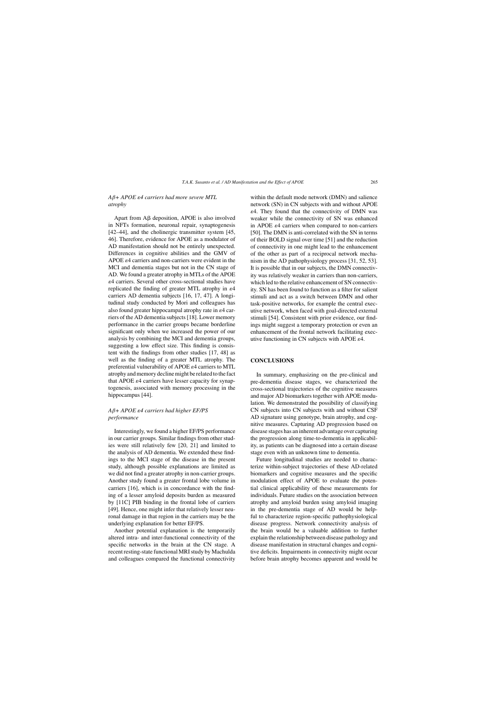# $A\beta$ + APOE ε4 carriers had more severe MTL *atrophy*

Apart from  $\overrightarrow{AB}$  deposition, APOE is also involved in NFTs formation, neuronal repair, synaptogenesis [42–44], and the cholinergic transmitter system [45, 46]. Therefore, evidence for APOE as a modulator of AD manifestation should not be entirely unexpected. Differences in cognitive abilities and the GMV of APOE  $\varepsilon$ 4 carriers and non-carriers were evident in the MCI and dementia stages but not in the CN stage of AD. We found a greater atrophy in MTLs of the APOE -4 carriers. Several other cross-sectional studies have replicated the finding of greater MTL atrophy in  $\varepsilon$ 4 carriers AD dementia subjects [16, 17, 47]. A longitudinal study conducted by Mori and colleagues has also found greater hippocampal atrophy rate in  $\varepsilon$ 4 carriers of the AD dementia subjects [18]. Lower memory performance in the carrier groups became borderline significant only when we increased the power of our analysis by combining the MCI and dementia groups, suggesting a low effect size. This finding is consistent with the findings from other studies [17, 48] as well as the finding of a greater MTL atrophy. The preferential vulnerability of APOE  $\varepsilon$ 4 carriers to MTL atrophy and memory decline might be related to the fact that APOE  $\varepsilon$ 4 carriers have lesser capacity for synaptogenesis, associated with memory processing in the hippocampus [44].

# *A*β*+ APOE* -*4 carriers had higher EF/PS performance*

Interestingly, we found a higher EF/PS performance in our carrier groups. Similar findings from other studies were still relatively few [20, 21] and limited to the analysis of AD dementia. We extended these findings to the MCI stage of the disease in the present study, although possible explanations are limited as we did not find a greater atrophy in non-carrier groups. Another study found a greater frontal lobe volume in carriers [16], which is in concordance with the finding of a lesser amyloid deposits burden as measured by [11C] PIB binding in the frontal lobe of carriers [49]. Hence, one might infer that relatively lesser neuronal damage in that region in the carriers may be the underlying explanation for better EF/PS.

Another potential explanation is the temporarily altered intra- and inter-functional connectivity of the specific networks in the brain at the CN stage. A recent resting-state functional MRI study by Machulda and colleagues compared the functional connectivity within the default mode network (DMN) and salience network (SN) in CN subjects with and without APOE -4. They found that the connectivity of DMN was weaker while the connectivity of SN was enhanced in APOE  $\varepsilon$ 4 carriers when compared to non-carriers [50]. The DMN is anti-correlated with the SN in terms of their BOLD signal over time [51] and the reduction of connectivity in one might lead to the enhancement of the other as part of a reciprocal network mechanism in the AD pathophysiology process [31, 52, 53]. It is possible that in our subjects, the DMN connectivity was relatively weaker in carriers than non-carriers, which led to the relative enhancement of SN connectivity. SN has been found to function as a filter for salient stimuli and act as a switch between DMN and other task-positive networks, for example the central executive network, when faced with goal-directed external stimuli [54]. Consistent with prior evidence, our findings might suggest a temporary protection or even an enhancement of the frontal network facilitating executive functioning in CN subjects with APOE  $\varepsilon$ 4.

# **CONCLUSIONS**

In summary, emphasizing on the pre-clinical and pre-dementia disease stages, we characterized the cross-sectional trajectories of the cognitive measures and major AD biomarkers together with APOE modulation. We demonstrated the possibility of classifying CN subjects into CN subjects with and without CSF AD signature using genotype, brain atrophy, and cognitive measures. Capturing AD progression based on disease stages has an inherent advantage over capturing the progression along time-to-dementia in applicability, as patients can be diagnosed into a certain disease stage even with an unknown time to dementia.

Future longitudinal studies are needed to characterize within-subject trajectories of these AD-related biomarkers and cognitive measures and the specific modulation effect of APOE to evaluate the potential clinical applicability of these measurements for individuals. Future studies on the association between atrophy and amyloid burden using amyloid imaging in the pre-dementia stage of AD would be helpful to characterize region-specific pathophysiological disease progress. Network connectivity analysis of the brain would be a valuable addition to further explain the relationship between disease pathology and disease manifestation in structural changes and cognitive deficits. Impairments in connectivity might occur before brain atrophy becomes apparent and would be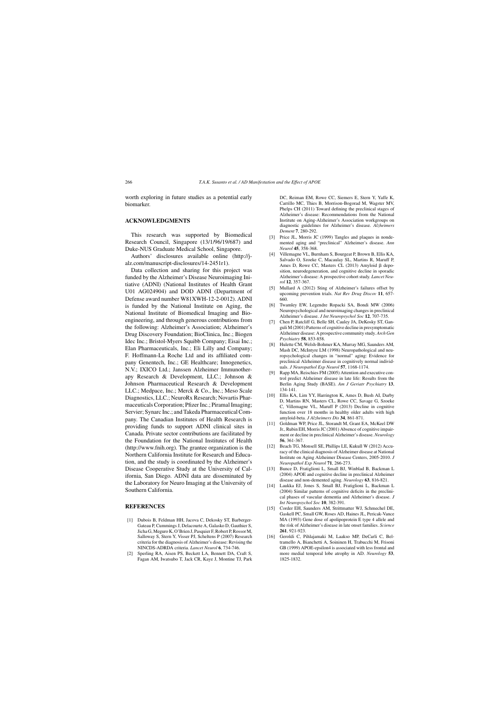worth exploring in future studies as a potential early biomarker.

# **ACKNOWLEDGMENTS**

This research was supported by Biomedical Research Council, Singapore (13/1/96/19/687) and Duke-NUS Graduate Medical School, Singapore.

Authors' disclosures available online (http://jalz.com/manuscript-disclosures/14-2451r1).

Data collection and sharing for this project was funded by the Alzheimer's Disease Neuroimaging Initiative (ADNI) (National Institutes of Health Grant U01 AG024904) and DOD ADNI (Department of Defense award number W81XWH-12-2-0012). ADNI is funded by the National Institute on Aging, the National Institute of Biomedical Imaging and Bioengineering, and through generous contributions from the following: Alzheimer's Association; Alzheimer's Drug Discovery Foundation; BioClinica, Inc.; Biogen Idec Inc.; Bristol-Myers Squibb Company; Eisai Inc.; Elan Pharmaceuticals, Inc.; Eli Lilly and Company; F. Hoffmann-La Roche Ltd and its affiliated company Genentech, Inc.; GE Healthcare; Innogenetics, N.V.; IXICO Ltd.; Janssen Alzheimer Immunotherapy Research & Development, LLC.; Johnson & Johnson Pharmaceutical Research & Development LLC.; Medpace, Inc.; Merck & Co., Inc.; Meso Scale Diagnostics, LLC.; NeuroRx Research; Novartis Pharmaceuticals Corporation; Pfizer Inc.; Piramal Imaging; Servier; Synarc Inc.; and Takeda Pharmaceutical Company. The Canadian Institutes of Health Research is providing funds to support ADNI clinical sites in Canada. Private sector contributions are facilitated by the Foundation for the National Institutes of Health [\(http://www.fnih.org](http://www.fnih.org)). The grantee organization is the Northern California Institute for Research and Education, and the study is coordinated by the Alzheimer's Disease Cooperative Study at the University of California, San Diego. ADNI data are disseminated by the Laboratory for Neuro Imaging at the University of Southern California.

## **REFERENCES**

- [1] Dubois B, Feldman HH, Jacova C, Dekosky ST, Barberger-Gateau P, Cummings J, Delacourte A, Galasko D, Gauthier S, Jicha G, Meguro K, O'Brien J, Pasquier F, Robert P, Rossor M, Salloway S, Stern Y, Visser PJ, Scheltens P (2007) Research criteria for the diagnosis of Alzheimer's disease: Revising the NINCDS-ADRDA criteria. *Lancet Neurol* **6**, 734-746.
- [2] Sperling RA, Aisen PS, Beckett LA, Bennett DA, Craft S, Fagan AM, Iwatsubo T, Jack CR, Kaye J, Montine TJ, Park

DC, Reiman EM, Rowe CC, Siemers E, Stern Y, Yaffe K, Carrillo MC, Thies B, Morrison-Bogorad M, Wagster MV, Phelps CH (2011) Toward defining the preclinical stages of Alzheimer's disease: Recommendations from the National Institute on Aging-Alzheimer's Association workgroups on diagnostic guidelines for Alzheimer's disease. *Alzheimers Dement* **7**, 280-292.

- [3] Price JL, Morris JC (1999) Tangles and plaques in nondemented aging and "preclinical" Alzheimer's disease. *Ann Neurol* **45**, 358-368.
- [\[4\] Villemagne VL, Burnham S, Bourgeat P](http://j-alz.com/manuscript-disclosures/14-2451r1), Brown B, Ellis KA, Salvado O, Szoeke C, Macaulay SL, Martins R, Maruff P, Ames D, Rowe CC, Masters CL (2013) Amyloid  $\beta$  deposition, neurodegeneration, and cognitive decline in sporadic Alzheimer's disease: A prospective cohort study. *Lancet Neurol* **12**, 357-367.
- [5] Mullard A (2012) Sting of Alzheimer's failures offset by upcoming prevention trials. *Nat Rev Drug Discov* **11**, 657- 660.
- [6] Twamley EW, Legendre Ropacki SA, Bondi MW (2006) Neuropsychological and neuroimaging changes in preclinical Alzheimer's disease. *J Int Neuropsychol Soc* **12**, 707-735.
- [7] Chen P, Ratcliff G, Belle SH, Cauley JA, DeKosky ST, Ganguli M (2001) Patterns of cognitive decline in presymptomatic Alzheimer disease: A prospective community study. *Arch Gen Psychiatry* **58**, 853-858.
- [8] Hulette CM, Welsh-Bohmer KA, Murray MG, Saunders AM, Mash DC, McIntyre LM (1998) Neuropathological and neuropsychological changes in "normal" aging: Evidence for preclinical Alzheimer disease in cognitively normal individuals. *J Neuropathol Exp Neurol* **57**, 1168-1174.
- [9] Rapp MA, Reischies FM (2005) Attention and executive control predict Alzheimer disease in late life: Results from the Berlin Aging Study (BASE). *Am J Geriatr Psychiatry* **13**, 134-141.
- [10] Ellis KA, Lim YY, Harrington K, Ames D, Bush AI, Darby D, Martins RN, Masters CL, Rowe CC, Savage G, Szoeke C, Villemagne VL, Maruff P (2013) Decline in cognitive function over 18 months in healthy older adults with high amyloid-beta. *J Alzheimers Dis* **34**, 861-871.
- [11] Goldman WP, Price JL, Storandt M, Grant EA, McKeel DW Jr., Rubin EH, Morris JC (2001) Absence of cognitive impairment or decline in preclinical Alzheimer's disease. *Neurology* **56**, 361-367.
- [12] Beach TG, Monsell SE, Phillips LE, Kukull W (2012) Accuracy of the clinical diagnosis of Alzheimer disease at National Institute on Aging Alzheimer Disease Centers, 2005-2010. *J Neuropathol Exp Neurol* **71**, 266-273.
- [13] Bunce D, Fratiglioni L, Small BJ, Winblad B, Backman L (2004) APOE and cognitive decline in preclinical Alzheimer disease and non-demented aging. *Neurology* **63**, 816-821.
- [14] Laukka EJ, Jones S, Small BJ, Fratiglioni L, Backman L (2004) Similar patterns of cognitive deficits in the preclinical phases of vascular dementia and Alzheimer's disease. *J Int Neuropsychol Soc* **10**, 382-391.
- [15] Corder EH, Saunders AM, Strittmatter WJ, Schmechel DE, Gaskell PC, Small GW, Roses AD, Haines JL, Pericak-Vance MA (1993) Gene dose of apolipoprotein E type 4 allele and the risk of Alzheimer's disease in late onset families. *Science* **261**, 921-923.
- [16] Geroldi C, Pihlajamaki M, Laakso MP, DeCarli C, Beltramello A, Bianchetti A, Soininen H, Trabucchi M, Frisoni GB (1999) APOE-epsilon4 is associated with less frontal and more medial temporal lobe atrophy in AD. *Neurology* **53**, 1825-1832.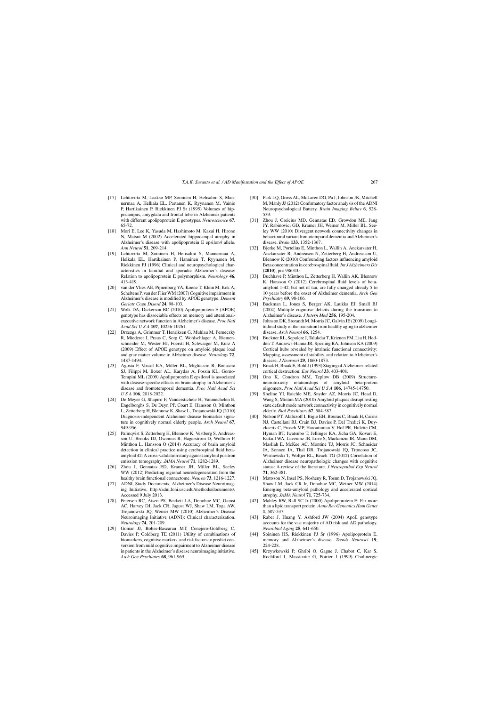- [17] Lehtovirta M, Laakso MP, Soininen H, Helisalmi S, Mannermaa A, Helkala EL, Partanen K, Ryynanen M, Vainio P, Hartikainen P, Riekkinen PJ Sr (1995) Volumes of hippocampus, amygdala and frontal lobe in Alzheimer patients with different apolipoprotein E genotypes. *Neuroscience* **67**, 65-72.
- [18] Mori E, Lee K, Yasuda M, Hashimoto M, Kazui H, Hirono N, Matsui M (2002) Accelerated hippocampal atrophy in Alzheimer's disease with apolipoprotein E epsilon4 allele. *Ann Neurol* **51**, 209-214.
- [19] Lehtovirta M, Soininen H, Helisalmi S, Mannermaa A, Helkala EL, Hartikainen P, Hanninen T, Ryynanen M, Riekkinen PJ (1996) Clinical and neuropsychological characteristics in familial and sporadic Alzheimer's disease: Relation to apolipoprotein E polymorphism. *Neurology* **46**, 413-419.
- [20] van der Vlies AE, Pijnenburg YA, Koene T, Klein M, Kok A, Scheltens P, van der Flier WM (2007) Cognitive impairment in Alzheimer's disease is modified by APOE genotype. *Dement Geriatr Cogn Disord* **24**, 98-103.
- [21] Wolk DA, Dickerson BC (2010) Apolipoprotein E (APOE) genotype has dissociable effects on memory and attentionalexecutive network function in Alzheimer's disease. *Proc Natl Acad SciUSA* **107**, 10256-10261.
- [22] Drzezga A, Grimmer T, Henriksen G, Muhlau M, Perneczky R, Miederer I, Praus C, Sorg C, Wohlschlager A, Riemenschneider M, Wester HJ, Foerstl H, Schwaiger M, Kurz A (2009) Effect of APOE genotype on amyloid plaque load and gray matter volume in Alzheimer disease. *Neurology* **72**, 1487-1494.
- [23] Agosta F, Vossel KA, Miller BL, Migliaccio R, Bonasera SJ, Filippi M, Boxer AL, Karydas A, Possin KL, Gorno-Tempini ML (2009) Apolipoprotein E epsilon4 is associated with disease-specific effects on brain atrophy in Alzheimer's disease and frontotemporal dementia. *Proc Natl Acad Sci USA* **106**, 2018-2022.
- [24] De Meyer G, Shapiro F, Vanderstichele H, Vanmechelen E, Engelborghs S, De Deyn PP, Coart E, Hansson O, Minthon L, Zetterberg H, Blennow K, Shaw L, Trojanowski JQ (2010) Diagnosis-independent Alzheimer disease biomarker signature in cognitively normal elderly people. *Arch Neurol* **67**, 949-956.
- [25] Palmqvist S, Zetterberg H, Blennow K, Vestberg S, Andreasson U, Brooks DJ, Owenius R, Hagerstrom D, Wollmer P, Minthon L, Hansson O (2014) Accuracy of brain amyloid detection in clinical practice using cerebrospinal fluid betaamyloid 42: A cross-validation study against amyloid positron emission tomography. *JAMA Neurol* **71**, 1282-1289.
- [26] Zhou J, Gennatas ED, Kramer JH, Miller BL, Seeley WW (2012) Predicting regional neurodegeneration from the healthy brain functional connectome. *Neuron* **73**, 1216-1227.
- [27] ADNI, Study Documents, Alzheimer's Disease Neuroimaging Initiative, [http://adni.loni.usc.edu/methods/documents/,](http://adni.loni.usc.edu/methods/documents/) Accessed 9 July 2013.
- [28] Petersen RC, Aisen PS, Beckett LA, Donohue MC, Gamst AC, Harvey DJ, Jack CR, Jagust WJ, Shaw LM, Toga AW, Trojanowski JQ, Weiner MW (2010) Alzheimer's Disease Neuroimaging Initiative (ADNI): Clinical characterization. *Neurology* **74**, 201-209.
- [29] Gomar JJ, Bobes-Bascaran MT, Conejero-Goldberg C, Davies P, Goldberg TE (2011) Utility of combinations of biomarkers, cognitive markers, and risk factors to predict conversion from mild cognitive impairment to Alzheimer disease in patients in the Alzheimer's disease neuroimaging initiative. *Arch Gen Psychiatry* **68**, 961-969.
- [30] Park LQ, Gross AL, McLaren DG, Pa J, Johnson JK, Mitchell M, Manly JJ (2012) Confirmatory factor analysis of the ADNI Neuropsychological Battery. *Brain Imaging Behav* **6**, 528- 539.
- [31] Zhou J, Greicius MD, Gennatas ED, Growdon ME, Jang JY, Rabinovici GD, Kramer JH, Weiner M, Miller BL, Seeley WW (2010) Divergent network connectivity changes in behavioural variant frontotemporal dementia and Alzheimer's disease. *Brain* **133**, 1352-1367.
- [32] Bjerke M, Portelius E, Minthon L, Wallin A, Anckarsater H, Anckarsater R, Andreasen N, Zetterberg H, Andreasson U, Blennow K (2010) Confounding factors influencing amyloid Beta concentration in cerebrospinal fluid.*Int J Alzheimers Dis* **(2010)**, pii: 986310.
- [33] Buchhave P, Minthon L, Zetterberg H, Wallin AK, Blennow K, Hansson O (2012) Cerebrospinal fluid levels of betaamyloid 1-42, but not of tau, are fully changed already 5 to 10 years before the onset of Alzheimer dementia. *Arch Gen Psychiatry* **69**, 98-106.
- [34] Backman L, Jones S, Berger AK, Laukka EJ, Small BJ (2004) Multiple cognitive deficits during the transition to Alzheimer's disease. *J Intern Med* **256**, 195-204.
- [35] Johnson DK, Storandt M, Morris JC, Galvin JE (2009) Longitudinal study of the transition from healthy aging to alzheimer disease. *Arch Neurol* **66**, 1254.
- [36] Buckner RL, Sepulcre J, Talukdar T, Krienen FM, Liu H, Hedden T, Andrews-Hanna JR, Sperling RA, Johnson KA (2009) Cortical hubs revealed by intrinsic functional connectivity: Mapping, assessment of stability, and relation to Alzheimer's disease. *J Neurosci* **29**, 1860-1873.
- [37] Braak H, Braak E, Bohl J (1993) Staging of Alzheimer-related cortical destruction. *Eur Neurol* **33**, 403-408.
- [38] Ono K, Condron MM, Teplow DB (2009) Structureneurotoxicity relationships of amyloid beta-protein oligomers. *Proc Natl Acad SciUSA* **106**, 14745-14750.
- [39] Sheline YI, Raichle ME, Snyder AZ, Morris JC, Head D, Wang S, Mintun MA (2010) Amyloid plaques disrupt resting state default mode network connectivity in cognitively normal elderly. *Biol Psychiatry* **67**, 584-587.
- [40] Nelson PT, Alafuzoff I, Bigio EH, Bouras C, Braak H, Cairns NJ, Castellani RJ, Crain BJ, Davies P, Del Tredici K, Duyckaerts C, Frosch MP, Haroutunian V, Hof PR, Hulette CM, Hyman BT, Iwatsubo T, Jellinger KA, Jicha GA, Kovari E, Kukull WA, Leverenz JB, Love S, Mackenzie IR, Mann DM, Masliah E, McKee AC, Montine TJ, Morris JC, Schneider JA, Sonnen JA, Thal DR, Trojanowski JQ, Troncoso JC, Wisniewski T, Woltjer RL, Beach TG (2012) Correlation of Alzheimer disease neuropathologic changes with cognitive status: A review of the literature. *J Neuropathol Exp Neurol* **71**, 362-381.
- [41] Mattsson N, Insel PS, Nosheny R, Tosun D, Trojanowski JQ, Shaw LM, Jack CR Jr, Donohue MC, Weiner MW (2014) Emerging beta-amyloid pathology and accelerated cortical atrophy. *JAMA Neurol* **71**, 725-734.
- [42] Mahley RW, Rall SC Jr (2000) Apolipoprotein E: Far more than a lipid transport protein. *Annu Rev Genomics Hum Genet* **1**, 507-537.
- [43] Raber J, Huang Y, Ashford JW (2004) ApoE genotype accounts for the vast majority of AD risk and AD pathology. *Neurobiol Aging* **25**, 641-650.
- [44] Soininen HS, Riekkinen PJ Sr (1996) Apolipoprotein E, memory and Alzheimer's disease. *Trends Neurosci* **19**, 224-228.
- [45] Krzywkowski P, Ghribi O, Gagne J, Chabot C, Kar S, Rochford J, Massicotte G, Poirier J (1999) Cholinergic